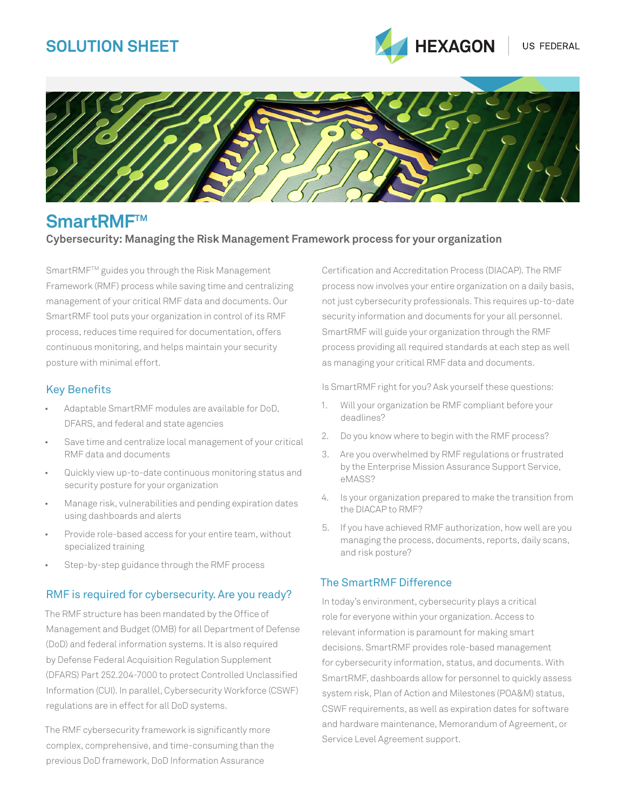# **SOLUTION SHEET**





## **SmartRMFTM Cybersecurity: Managing the Risk Management Framework process for your organization**

SmartRMF™ guides you through the Risk Management Framework (RMF) process while saving time and centralizing management of your critical RMF data and documents. Our SmartRMF tool puts your organization in control of its RMF process, reduces time required for documentation, offers continuous monitoring, and helps maintain your security posture with minimal effort.

## Key Benefits

- Adaptable SmartRMF modules are available for DoD, DFARS, and federal and state agencies
- Save time and centralize local management of your critical RMF data and documents
- Quickly view up-to-date continuous monitoring status and security posture for your organization
- Manage risk, vulnerabilities and pending expiration dates using dashboards and alerts
- Provide role-based access for your entire team, without specialized training
- Step-by-step guidance through the RMF process

### RMF is required for cybersecurity. Are you ready?

The RMF structure has been mandated by the Office of Management and Budget (OMB) for all Department of Defense (DoD) and federal information systems. It is also required by Defense Federal Acquisition Regulation Supplement (DFARS) Part 252.204-7000 to protect Controlled Unclassified Information (CUI). In parallel, Cybersecurity Workforce (CSWF) regulations are in effect for all DoD systems.

The RMF cybersecurity framework is significantly more complex, comprehensive, and time-consuming than the previous DoD framework, DoD Information Assurance

Certification and Accreditation Process (DIACAP). The RMF process now involves your entire organization on a daily basis, not just cybersecurity professionals. This requires up-to-date security information and documents for your all personnel. SmartRMF will guide your organization through the RMF process providing all required standards at each step as well as managing your critical RMF data and documents.

Is SmartRMF right for you? Ask yourself these questions:

- 1. Will your organization be RMF compliant before your deadlines?
- 2. Do you know where to begin with the RMF process?
- 3. Are you overwhelmed by RMF regulations or frustrated by the Enterprise Mission Assurance Support Service, eMASS?
- 4. Is your organization prepared to make the transition from the DIACAP to RMF?
- 5. If you have achieved RMF authorization, how well are you managing the process, documents, reports, daily scans, and risk posture?

### The SmartRMF Difference

In today's environment, cybersecurity plays a critical role for everyone within your organization. Access to relevant information is paramount for making smart decisions. SmartRMF provides role-based management for cybersecurity information, status, and documents. With SmartRMF, dashboards allow for personnel to quickly assess system risk, Plan of Action and Milestones (POA&M) status, CSWF requirements, as well as expiration dates for software and hardware maintenance, Memorandum of Agreement, or Service Level Agreement support.